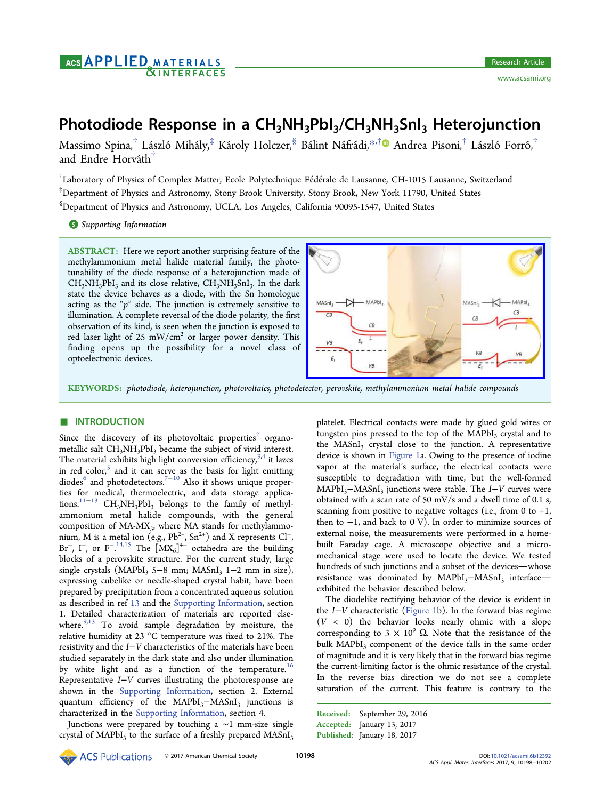# Photodiode Response in a  $CH_3NH_3Pbl_3/CH_3NH_3SnI_3$  Heterojunction

Massimo Spina, $^\dagger$  László Mihály, $^\ddagger$  Károly Holczer, $^\$,$  Bálint Náfrádi, $^{*,\dagger}$  $^{*,\dagger}$  $^{*,\dagger}$  $\bullet$  Andrea Pisoni, $^\dagger$  László Forró, $^\dagger$ **∫** and Endre Horváth<sup>†</sup>

 $^\dagger$ Laboratory of Physics of Complex Matter, Ecole Polytechnique Fédérale de Lausanne, CH-1015 Lausanne, Switzerland ‡ Department of Physics and Astronomy, Stony Brook University, Stony Brook, New York 11790, United States § Department of Physics and Astronomy, UCLA, Los Angeles, California 90095-1547, United States

S [Supporting Information](#page-3-0)

ABSTRACT: Here we report another surprising feature of the methylammonium metal halide material family, the phototunability of the diode response of a heterojunction made of  $CH<sub>3</sub>NH<sub>3</sub>PbI<sub>3</sub>$  and its close relative,  $CH<sub>3</sub>NH<sub>3</sub>SnI<sub>3</sub>$ . In the dark state the device behaves as a diode, with the Sn homologue acting as the " $p$ " side. The junction is extremely sensitive to illumination. A complete reversal of the diode polarity, the first observation of its kind, is seen when the junction is exposed to red laser light of 25  $mW/cm<sup>2</sup>$  or larger power density. This finding opens up the possibility for a novel class of optoelectronic devices.



KEYWORDS: photodiode, heterojunction, photovoltaics, photodetector, perovskite, methylammonium metal halide compounds

## **ENTRODUCTION**

Since the discovery of its photovoltaic properties<sup>[2](#page-3-0)</sup> organometallic salt CH<sub>3</sub>NH<sub>3</sub>PbI<sub>3</sub> became the subject of vivid interest. The material exhibits high light conversion efficiency,  $3,4$  it lazes in red color, $5$  and it can serve as the basis for light emitting diodes<sup>6</sup> and photodetectors.<sup>[7](#page-3-0)−[10](#page-3-0)</sup> Also it shows unique properties for medical, thermoelectric, and data storage applications.[11](#page-3-0)−[13](#page-3-0) CH3NH3PbI3 belongs to the family of methylammonium metal halide compounds, with the general composition of  $MA-MX_3$ , where  $MA$  stands for methylammonium, M is a metal ion (e.g., Pb<sup>2+</sup>, Sn<sup>2+</sup>) and X represents Cl<sup>−</sup>, Br<sup>−</sup>, I<sup>−</sup>, or F<sup>−</sup>.<sup>[14,15](#page-3-0)</sup> The  $\left[$ MX<sub>6</sub>]<sup>4−</sup> octahedra are the building blocks of a perovskite structure. For the current study, large single crystals (MAPbI<sub>3</sub> 5−8 mm; MASnI<sub>3</sub> 1−2 mm in size), expressing cubelike or needle-shaped crystal habit, have been prepared by precipitation from a concentrated aqueous solution as described in ref [13](#page-3-0) and the [Supporting Information,](http://pubs.acs.org/doi/suppl/10.1021/acsami.6b12392/suppl_file/am6b12392_si_001.pdf) section 1. Detailed characterization of materials are reported elsewhere. $9,13$  To avoid sample degradation by moisture, the relative humidity at 23 °C temperature was fixed to 21%. The resistivity and the I−V characteristics of the materials have been studied separately in the dark state and also under illumination by white light and as a function of the temperature.<sup>[16](#page-3-0)</sup> Representative I−V curves illustrating the photoresponse are shown in the [Supporting Information,](http://pubs.acs.org/doi/suppl/10.1021/acsami.6b12392/suppl_file/am6b12392_si_001.pdf) section 2. External quantum efficiency of the MAPbI<sub>3</sub>−MASnI<sub>3</sub> junctions is characterized in the [Supporting Information](http://pubs.acs.org/doi/suppl/10.1021/acsami.6b12392/suppl_file/am6b12392_si_001.pdf), section 4.

Junctions were prepared by touching a ∼1 mm-size single crystal of  $MAPbI<sub>3</sub>$  to the surface of a freshly prepared  $MASnI<sub>3</sub>$  platelet. Electrical contacts were made by glued gold wires or tungsten pins pressed to the top of the  $MAPbI<sub>3</sub>$  crystal and to the  $MASnI<sub>3</sub>$  crystal close to the junction. A representative device is shown in [Figure 1](#page-1-0)a. Owing to the presence of iodine vapor at the material's surface, the electrical contacts were susceptible to degradation with time, but the well-formed MAPbI<sub>3</sub>−MASnI<sub>3</sub> junctions were stable. The I–V curves were obtained with a scan rate of 50 mV/s and a dwell time of 0.1 s, scanning from positive to negative voltages (i.e., from  $0$  to  $+1$ , then to −1, and back to 0 V). In order to minimize sources of external noise, the measurements were performed in a homebuilt Faraday cage. A microscope objective and a micromechanical stage were used to locate the device. We tested hundreds of such junctions and a subset of the devices-whose resistance was dominated by MAPbI<sub>3</sub>−MASnI<sub>3</sub> interfaceexhibited the behavior described below.

The diodelike rectifying behavior of the device is evident in the I−V characteristic [\(Figure 1b](#page-1-0)). In the forward bias regime  $(V < 0)$  the behavior looks nearly ohmic with a slope corresponding to 3  $\times$  10<sup>9</sup> Ω. Note that the resistance of the bulk MAPbI<sub>3</sub> component of the device falls in the same order of magnitude and it is very likely that in the forward bias regime the current-limiting factor is the ohmic resistance of the crystal. In the reverse bias direction we do not see a complete saturation of the current. This feature is contrary to the

Received: September 29, 2016 Accepted: January 13, 2017 Published: January 18, 2017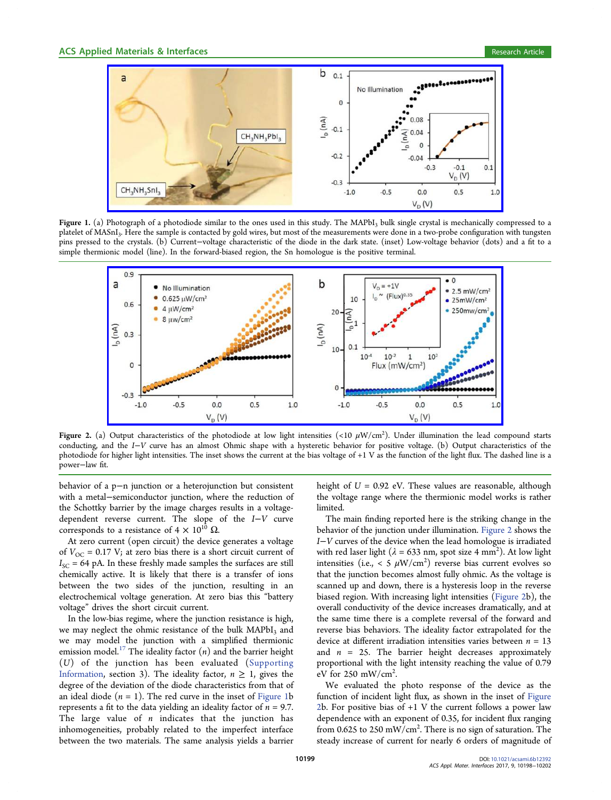<span id="page-1-0"></span>

Figure 1. (a) Photograph of a photodiode similar to the ones used in this study. The MAPbI<sub>3</sub> bulk single crystal is mechanically compressed to a platelet of MASnI<sub>3</sub>. Here the sample is contacted by gold wires, but most of the measurements were done in a two-probe configuration with tungsten pins pressed to the crystals. (b) Current−voltage characteristic of the diode in the dark state. (inset) Low-voltage behavior (dots) and a fit to a simple thermionic model (line). In the forward-biased region, the Sn homologue is the positive terminal.



Figure 2. (a) Output characteristics of the photodiode at low light intensities (<10  $\mu$ W/cm<sup>2</sup>). Under illumination the lead compound starts conducting, and the I−V curve has an almost Ohmic shape with a hysteretic behavior for positive voltage. (b) Output characteristics of the photodiode for higher light intensities. The inset shows the current at the bias voltage of +1 V as the function of the light flux. The dashed line is a power−law fit.

behavior of a p−n junction or a heterojunction but consistent with a metal−semiconductor junction, where the reduction of the Schottky barrier by the image charges results in a voltagedependent reverse current. The slope of the I−V curve corresponds to a resistance of  $4 \times 10^{10} \Omega$ .

At zero current (open circuit) the device generates a voltage of  $V_{\text{OC}} = 0.17 \text{ V}$ ; at zero bias there is a short circuit current of  $I_{SC}$  = 64 pA. In these freshly made samples the surfaces are still chemically active. It is likely that there is a transfer of ions between the two sides of the junction, resulting in an electrochemical voltage generation. At zero bias this "battery voltage" drives the short circuit current.

In the low-bias regime, where the junction resistance is high, we may neglect the ohmic resistance of the bulk MAPbI<sub>3</sub> and we may model the junction with a simplified thermionic emission model.<sup>[17](#page-3-0)</sup> The ideality factor  $(n)$  and the barrier height (U) of the junction has been evaluated [\(Supporting](http://pubs.acs.org/doi/suppl/10.1021/acsami.6b12392/suppl_file/am6b12392_si_001.pdf) [Information,](http://pubs.acs.org/doi/suppl/10.1021/acsami.6b12392/suppl_file/am6b12392_si_001.pdf) section 3). The ideality factor,  $n \geq 1$ , gives the degree of the deviation of the diode characteristics from that of an ideal diode ( $n = 1$ ). The red curve in the inset of Figure 1b represents a fit to the data yielding an ideality factor of  $n = 9.7$ . The large value of  $n$  indicates that the junction has inhomogeneities, probably related to the imperfect interface between the two materials. The same analysis yields a barrier

height of  $U = 0.92$  eV. These values are reasonable, although the voltage range where the thermionic model works is rather limited.

The main finding reported here is the striking change in the behavior of the junction under illumination. Figure 2 shows the I−V curves of the device when the lead homologue is irradiated with red laser light ( $\lambda = 633$  nm, spot size 4 mm<sup>2</sup>). At low light intensities (i.e., < 5  $\mu$ W/cm<sup>2</sup>) reverse bias current evolves so that the junction becomes almost fully ohmic. As the voltage is scanned up and down, there is a hysteresis loop in the reverse biased region. With increasing light intensities (Figure 2b), the overall conductivity of the device increases dramatically, and at the same time there is a complete reversal of the forward and reverse bias behaviors. The ideality factor extrapolated for the device at different irradiation intensities varies between  $n = 13$ and  $n = 25$ . The barrier height decreases approximately proportional with the light intensity reaching the value of 0.79 eV for  $250 \text{ mW/cm}^2$ . .

We evaluated the photo response of the device as the function of incident light flux, as shown in the inset of Figure 2b. For positive bias of +1 V the current follows a power law dependence with an exponent of 0.35, for incident flux ranging from 0.625 to 250 mW/cm<sup>2</sup>. There is no sign of saturation. The steady increase of current for nearly 6 orders of magnitude of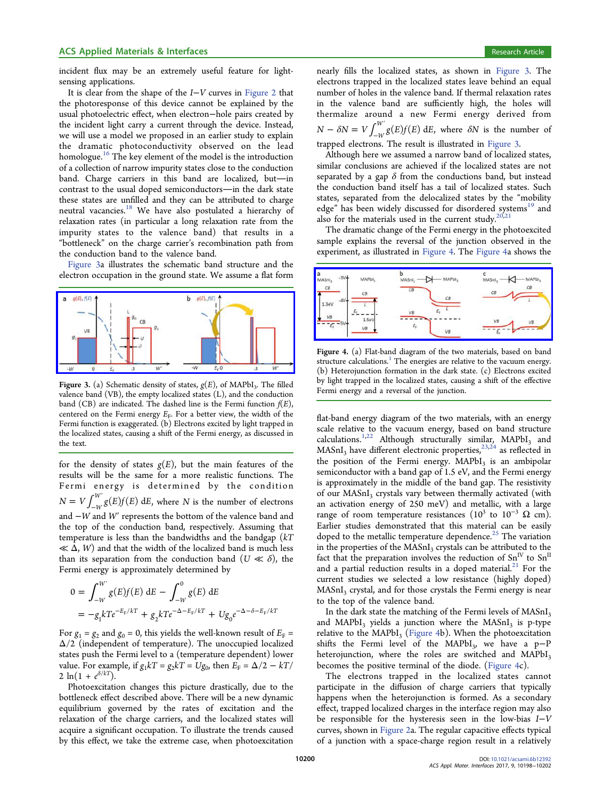incident flux may be an extremely useful feature for lightsensing applications.

It is clear from the shape of the I−V curves in [Figure 2](#page-1-0) that the photoresponse of this device cannot be explained by the usual photoelectric effect, when electron−hole pairs created by the incident light carry a current through the device. Instead, we will use a model we proposed in an earlier study to explain the dramatic photoconductivity observed on the lead homologue.<sup>[16](#page-3-0)</sup> The key element of the model is the introduction of a collection of narrow impurity states close to the conduction band. Charge carriers in this band are localized, but-in contrast to the usual doped semiconductors-in the dark state these states are unfilled and they can be attributed to charge neutral vacancies.[18](#page-3-0) We have also postulated a hierarchy of relaxation rates (in particular a long relaxation rate from the impurity states to the valence band) that results in a "bottleneck" on the charge carrier's recombination path from the conduction band to the valence band.

Figure 3a illustrates the schematic band structure and the electron occupation in the ground state. We assume a flat form



Figure 3. (a) Schematic density of states,  $g(E)$ , of MAPbI<sub>3</sub>. The filled valence band (VB), the empty localized states (L), and the conduction band (CB) are indicated. The dashed line is the Fermi function  $f(E)$ , centered on the Fermi energy  $E_F$ . For a better view, the width of the Fermi function is exaggerated. (b) Electrons excited by light trapped in the localized states, causing a shift of the Fermi energy, as discussed in the text.

for the density of states  $g(E)$ , but the main features of the results will be the same for a more realistic functions. The Fermi energy is determined by the condition  $N = V \int_{-W}^{W'} g(E) f(E) dE$ , where N is the number of electrons and −W and W′ represents the bottom of the valence band and the top of the conduction band, respectively. Assuming that temperature is less than the bandwidths and the bandgap  $(kT)$  $\ll \Delta$ , W) and that the width of the localized band is much less than its separation from the conduction band  $(U \ll \delta)$ , the Fermi energy is approximately determined by

$$
0 = \int_{-W}^{W'} g(E)f(E) \, dE - \int_{-W}^{0} g(E) \, dE
$$
  
=  $-g_1 k T e^{-E_F/kT} + g_2 k T e^{-\Delta - E_F/kT} + U g_0 e^{-\Delta - \delta - E_F/kT}$ 

For  $g_1 = g_2$  and  $g_0 = 0$ , this yields the well-known result of  $E_F =$ Δ/2 (independent of temperature). The unoccupied localized states push the Fermi level to a (temperature dependent) lower value. For example, if  $g_1kT = g_2kT = Ug_0$ , then  $E_F = \Delta/2 - kT/2$ 2  $\ln(1 + e^{\delta/kT}).$ 

Photoexcitation changes this picture drastically, due to the bottleneck effect described above. There will be a new dynamic equilibrium governed by the rates of excitation and the relaxation of the charge carriers, and the localized states will acquire a significant occupation. To illustrate the trends caused by this effect, we take the extreme case, when photoexcitation nearly fills the localized states, as shown in Figure 3. The electrons trapped in the localized states leave behind an equal number of holes in the valence band. If thermal relaxation rates in the valence band are sufficiently high, the holes will thermalize around a new Fermi energy derived from  $N - \delta N = V \int_{-W}^{W'} g(E) f(E) dE$ , where  $\delta N$  is the number of trapped electrons. The result is illustrated in Figure 3.

Although here we assumed a narrow band of localized states, similar conclusions are achieved if the localized states are not separated by a gap  $\delta$  from the conductions band, but instead the conduction band itself has a tail of localized states. Such states, separated from the delocalized states by the "mobility edge" has been widely discussed for disordered systems<sup>[19](#page-3-0)</sup> and also for the materials used in the current study. $20,21$  $20,21$  $20,21$ 

The dramatic change of the Fermi energy in the photoexcited sample explains the reversal of the junction observed in the experiment, as illustrated in Figure 4. The Figure 4a shows the



Figure 4. (a) Flat-band diagram of the two materials, based on band structure calculations.<sup>[1](#page-3-0)</sup> The energies are relative to the vacuum energy. (b) Heterojunction formation in the dark state. (c) Electrons excited by light trapped in the localized states, causing a shift of the effective Fermi energy and a reversal of the junction.

flat-band energy diagram of the two materials, with an energy scale relative to the vacuum energy, based on band structure calculations.<sup>[1,](#page-3-0)[22](#page-4-0)</sup> Although structurally similar, MAPbI<sub>3</sub> and  $MASnI<sub>3</sub>$  have different electronic properties,<sup>[23,24](#page-4-0)</sup> as reflected in the position of the Fermi energy.  $MAPbI<sub>3</sub>$  is an ambipolar semiconductor with a band gap of 1.5 eV, and the Fermi energy is approximately in the middle of the band gap. The resistivity of our MASnI<sub>3</sub> crystals vary between thermally activated (with an activation energy of 250 meV) and metallic, with a large range of room temperature resistances ( $10^3$  to  $10^{-3}$   $\Omega$  cm). Earlier studies demonstrated that this material can be easily doped to the metallic temperature dependence.<sup>[25](#page-4-0)</sup> The variation in the properties of the MASnI<sub>3</sub> crystals can be attributed to the fact that the preparation involves the reduction of  $Sn<sup>IV</sup>$  to  $Sn<sup>II</sup>$ and a partial reduction results in a doped material. $21$  For the current studies we selected a low resistance (highly doped)  $MASnI<sub>3</sub>$  crystal, and for those crystals the Fermi energy is near to the top of the valence band.

In the dark state the matching of the Fermi levels of MASnI<sub>3</sub> and MAPbI<sub>3</sub> yields a junction where the MASnI<sub>3</sub> is p-type relative to the  $MAPbI_3$  (Figure 4b). When the photoexcitation shifts the Fermi level of the MAPbI<sub>3</sub>, we have a p-P heterojunction, where the roles are switched and  $MAPbI<sub>3</sub>$ becomes the positive terminal of the diode. (Figure 4c).

The electrons trapped in the localized states cannot participate in the diffusion of charge carriers that typically happens when the heterojunction is formed. As a secondary effect, trapped localized charges in the interface region may also be responsible for the hysteresis seen in the low-bias I−V curves, shown in [Figure 2](#page-1-0)a. The regular capacitive effects typical of a junction with a space-charge region result in a relatively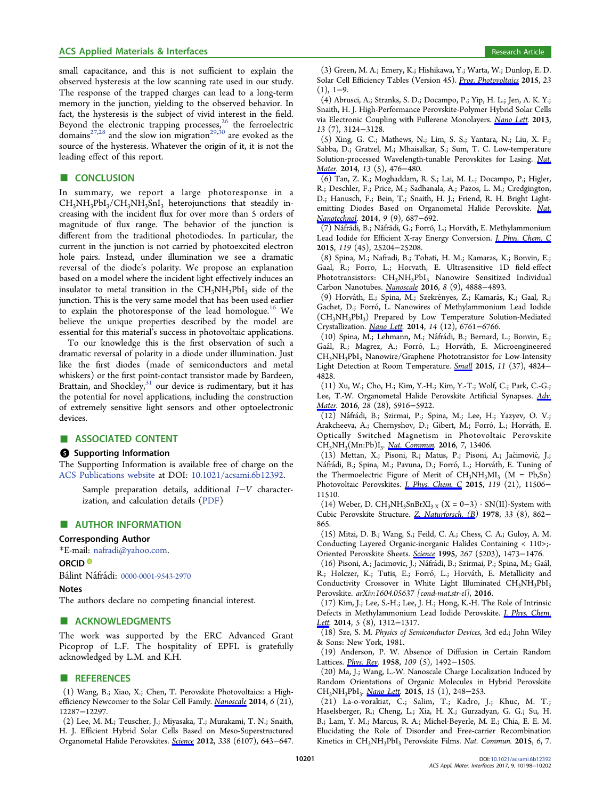## <span id="page-3-0"></span>ACS Applied Materials & Interfaces **Research Article** Research Article **Research Article**

small capacitance, and this is not sufficient to explain the observed hysteresis at the low scanning rate used in our study. The response of the trapped charges can lead to a long-term memory in the junction, yielding to the observed behavior. In fact, the hysteresis is the subject of vivid interest in the field. Beyond the electronic trapping processes,<sup>[26](#page-4-0)</sup> the ferroelectric domains<sup>[27](#page-4-0),[28](#page-4-0)</sup> and the slow ion migration<sup>[29,30](#page-4-0)</sup> are evoked as the source of the hysteresis. Whatever the origin of it, it is not the leading effect of this report.

## ■ CONCLUSION

In summary, we report a large photoresponse in a  $CH<sub>3</sub>NH<sub>3</sub>PbI<sub>3</sub>/CH<sub>3</sub>NH<sub>3</sub>SnI<sub>3</sub> heterojunctions that steadily in$ creasing with the incident flux for over more than 5 orders of magnitude of flux range. The behavior of the junction is different from the traditional photodiodes. In particular, the current in the junction is not carried by photoexcited electron hole pairs. Instead, under illumination we see a dramatic reversal of the diode's polarity. We propose an explanation based on a model where the incident light effectively induces an insulator to metal transition in the  $CH<sub>3</sub>NH<sub>3</sub>PbI<sub>3</sub>$  side of the junction. This is the very same model that has been used earlier to explain the photoresponse of the lead homologue.<sup>16</sup> We believe the unique properties described by the model are essential for this material's success in photovoltaic applications.

To our knowledge this is the first observation of such a dramatic reversal of polarity in a diode under illumination. Just like the first diodes (made of semiconductors and metal whiskers) or the first point-contact transistor made by Bardeen, Brattain, and Shockley, $31$  our device is rudimentary, but it has the potential for novel applications, including the construction of extremely sensitive light sensors and other optoelectronic devices.

## ■ ASSOCIATED CONTENT

#### **6** Supporting Information

The Supporting Information is available free of charge on the [ACS Publications website](http://pubs.acs.org) at DOI: [10.1021/acsami.6b12392](http://pubs.acs.org/doi/abs/10.1021/acsami.6b12392).

Sample preparation details, additional I−V characterization, and calculation details [\(PDF\)](http://pubs.acs.org/doi/suppl/10.1021/acsami.6b12392/suppl_file/am6b12392_si_001.pdf)

#### ■ AUTHOR INFORMATION

#### Corresponding Author

\*E-mail: [nafradi@yahoo.com](mailto:nafradi@yahoo.com).

#### ORCID<sup>®</sup>

Bálint Náfrádi: [0000-0001-9543-2970](http://orcid.org/0000-0001-9543-2970)

#### Notes

The authors declare no competing financial interest.

## ■ ACKNOWLEDGMENTS

The work was supported by the ERC Advanced Grant Picoprop of L.F. The hospitality of EPFL is gratefully acknowledged by L.M. and K.H.

#### **ENDERGERGEMENT**

(1) Wang, B.; Xiao, X.; Chen, T. Perovskite Photovoltaics: a High-efficiency Newcomer to the Solar Cell Family. [Nanoscale](http://pubs.acs.org/action/showLinks?pmid=25257655&crossref=10.1039%2FC4NR04144E&coi=1%3ACAS%3A528%3ADC%252BC2cXhsVOgsr%252FO) 2014, 6 (21), 12287−12297.

(2) Lee, M. M.; Teuscher, J.; Miyasaka, T.; Murakami, T. N.; Snaith, H. J. Efficient Hybrid Solar Cells Based on Meso-Superstructured Organometal Halide Perovskites. [Science](http://pubs.acs.org/action/showLinks?pmid=23042296&crossref=10.1126%2Fscience.1228604&coi=1%3ACAS%3A528%3ADC%252BC38XhsFygtbrL) 2012, 338 (6107), 643−647.

(3) Green, M. A.; Emery, K.; Hishikawa, Y.; Warta, W.; Dunlop, E. D. Solar Cell Efficiency Tables (Version 45). [Prog. Photovoltaics](http://pubs.acs.org/action/showLinks?crossref=10.1002%2Fpip.2573) 2015, 23  $(1), 1-9.$ 

(4) Abrusci, A.; Stranks, S. D.; Docampo, P.; Yip, H. L.; Jen, A. K. Y.; Snaith, H. J. High-Performance Perovskite-Polymer Hybrid Solar Cells via Electronic Coupling with Fullerene Monolayers. [Nano Lett](http://pubs.acs.org/action/showLinks?system=10.1021%2Fnl401044q&coi=1%3ACAS%3A528%3ADC%252BC3sXpsFGlu7o%253D). 2013, 13 (7), 3124−3128.

(5) Xing, G. C.; Mathews, N.; Lim, S. S.; Yantara, N.; Liu, X. F.; Sabba, D.; Gratzel, M.; Mhaisalkar, S.; Sum, T. C. Low-temperature Solution-processed Wavelength-tunable Perovskites for Lasing. [Nat.](http://pubs.acs.org/action/showLinks?pmid=24633346&crossref=10.1038%2Fnmat3911&coi=1%3ACAS%3A528%3ADC%252BC2cXktlGltbk%253D) [Mater](http://pubs.acs.org/action/showLinks?pmid=24633346&crossref=10.1038%2Fnmat3911&coi=1%3ACAS%3A528%3ADC%252BC2cXktlGltbk%253D). 2014, 13 (5), 476−480.

(6) Tan, Z. K.; Moghaddam, R. S.; Lai, M. L.; Docampo, P.; Higler, R.; Deschler, F.; Price, M.; Sadhanala, A.; Pazos, L. M.; Credgington, D.; Hanusch, F.; Bein, T.; Snaith, H. J.; Friend, R. H. Bright Light-emitting Diodes Based on Organometal Halide Perovskite. [Nat.](http://pubs.acs.org/action/showLinks?pmid=25086602&crossref=10.1038%2Fnnano.2014.149&coi=1%3ACAS%3A528%3ADC%252BC2cXht1Gqt7%252FN) [Nanotechnol](http://pubs.acs.org/action/showLinks?pmid=25086602&crossref=10.1038%2Fnnano.2014.149&coi=1%3ACAS%3A528%3ADC%252BC2cXht1Gqt7%252FN). 2014, 9 (9), 687−692.

(7) Náfrádi, B.; Náfrádi, G.; Forró, L.; Horváth, E. Methylammonium Lead Iodide for Efficient X-ray Energy Conversion. [J. Phys. Chem. C](http://pubs.acs.org/action/showLinks?system=10.1021%2Facs.jpcc.5b07876&coi=1%3ACAS%3A528%3ADC%252BC2MXhs1OgurfN) 2015, 119 (45), 25204−25208.

(8) Spina, M.; Nafradi, B.; Tohati, H. M.; Kamaras, K.; Bonvin, E.; Gaal, R.; Forro, L.; Horvath, E. Ultrasensitive 1D field-effect Phototransistors: CH<sub>3</sub>NH<sub>3</sub>PbI<sub>3</sub> Nanowire Sensitized Individual Carbon Nanotubes. [Nanoscale](http://pubs.acs.org/action/showLinks?pmid=26864708&crossref=10.1039%2FC5NR06727H&coi=1%3ACAS%3A528%3ADC%252BC28XhsFyntLk%253D) 2016, 8 (9), 4888-4893.

(9) Horváth, E.; Spina, M.; Szekrényes, Z.; Kamarás, K.; Gaal, R.; Gachet, D.; Forró, L. Nanowires of Methylammonium Lead Iodide (CH<sub>3</sub>NH<sub>3</sub>PbI<sub>3</sub>) Prepared by Low Temperature Solution-Mediated Crystallization. [Nano Lett](http://pubs.acs.org/action/showLinks?system=10.1021%2Fnl5020684). 2014, 14 (12), 6761−6766.

(10) Spina, M.; Lehmann, M.; Náfrádi, B.; Bernard, L.; Bonvin, E.; Gaál, R.; Magrez, A.; Forró, L.; Horváth, E. Microengineered CH<sub>3</sub>NH<sub>3</sub>PbI<sub>3</sub> Nanowire/Graphene Phototransistor for Low-Intensity Light Detection at Room Temperature. [Small](http://pubs.acs.org/action/showLinks?pmid=26172855&crossref=10.1002%2Fsmll.201501257&coi=1%3ACAS%3A528%3ADC%252BC2MXhtFOrtb7J) 2015, 11 (37), 4824− 4828.

(11) Xu, W.; Cho, H.; Kim, Y.-H.; Kim, Y.-T.; Wolf, C.; Park, C.-G.; Lee, T.-W. Organometal Halide Perovskite Artificial Synapses. [Adv.](http://pubs.acs.org/action/showLinks?pmid=27167384&crossref=10.1002%2Fadma.201506363&coi=1%3ACAS%3A528%3ADC%252BC28XnslaisLo%253D) [Mater](http://pubs.acs.org/action/showLinks?pmid=27167384&crossref=10.1002%2Fadma.201506363&coi=1%3ACAS%3A528%3ADC%252BC28XnslaisLo%253D). 2016, 28 (28), 5916−5922.

(12) Náfrádi, B.; Szirmai, P.; Spina, M.; Lee, H.; Yazyev, O. V.; Arakcheeva, A.; Chernyshov, D.; Gibert, M.; Forró, L.; Horváth, E. Optically Switched Magnetism in Photovoltaic Perovskite CH<sub>3</sub>NH<sub>3</sub>(Mn:Pb)I<sub>3</sub>. [Nat. Commun.](http://pubs.acs.org/action/showLinks?pmid=27882917&crossref=10.1038%2Fncomms13406&coi=1%3ACAS%3A528%3ADC%252BC28XitFSns77E) 2016, 7, 13406.

(13) Mettan, X.; Pisoni, R.; Matus, P.; Pisoni, A.; Jaćimović, J.; Náfrádi, B.; Spina, M.; Pavuna, D.; Forró, L.; Horváth, E. Tuning of the Thermoelectric Figure of Merit of  $CH_3NH_3MI_3$  (M = Pb,Sn) Photovoltaic Perovskites. *[J. Phys. Chem. C](http://pubs.acs.org/action/showLinks?system=10.1021%2Facs.jpcc.5b03939&coi=1%3ACAS%3A528%3ADC%252BC2MXnsFOgu70%253D)* 2015, 119 (21), 11506− 11510.

(14) Weber, D. CH<sub>3</sub>NH<sub>3</sub>SnBrXI<sub>3</sub><sub>×X</sub> (X = 0–3) - SN(II)-System with Cubic Perovskite Structure. [Z. Naturforsch. \(B\)](http://pubs.acs.org/action/showLinks?coi=1%3ACAS%3A528%3ADyaE1cXlsFGqsbw%253D) 1978, 33 (8), 862− 865.

(15) Mitzi, D. B.; Wang, S.; Feild, C. A.; Chess, C. A.; Guloy, A. M. Conducting Layered Organic-inorganic Halides Containing < 110>;- Oriented Perovskite Sheets. [Science](http://pubs.acs.org/action/showLinks?pmid=17743545&crossref=10.1126%2Fscience.267.5203.1473&coi=1%3ACAS%3A528%3ADyaK2MXktlClt7g%253D) 1995, 267 (5203), 1473−1476.

(16) Pisoni, A.; Jacimovic, J.; Náfrádi, B.; Szirmai, P.; Spina, M.; Gaál, R.; Holczer, K.; Tutis, E.; Forró, L.; Horváth, E. Metallicity and Conductivity Crossover in White Light Illuminated  $CH<sub>3</sub>NH<sub>3</sub>PbI<sub>3</sub>$ Perovskite. arXiv:1604.05637 [cond-mat.str-el], 2016.

(17) Kim, J.; Lee, S.-H.; Lee, J. H.; Hong, K.-H. The Role of Intrinsic Defects in Methylammonium Lead Iodide Perovskite. *[J. Phys. Chem.](http://pubs.acs.org/action/showLinks?system=10.1021%2Fjz500370k&coi=1%3ACAS%3A528%3ADC%252BC2cXkslChu78%253D)* [Lett](http://pubs.acs.org/action/showLinks?system=10.1021%2Fjz500370k&coi=1%3ACAS%3A528%3ADC%252BC2cXkslChu78%253D). 2014, 5 (8), 1312−1317.

(18) Sze, S. M. Physics of Semiconductor Devices, 3rd ed.; John Wiley & Sons: New York, 1981.

(19) Anderson, P. W. Absence of Diffusion in Certain Random Lattices. *[Phys. Rev.](http://pubs.acs.org/action/showLinks?crossref=10.1103%2FPhysRev.109.1492&coi=1%3ACAS%3A528%3ADyaG1cXntVCksA%253D%253D)* 1958, 109 (5), 1492-1505.

(20) Ma, J.; Wang, L.-W. Nanoscale Charge Localization Induced by Random Orientations of Organic Molecules in Hybrid Perovskite CH<sub>3</sub>NH<sub>3</sub>PbI<sub>3</sub>. [Nano Lett.](http://pubs.acs.org/action/showLinks?system=10.1021%2Fnl503494y&coi=1%3ACAS%3A528%3ADC%252BC2cXitVKqs7jI) 2015, 15 (1), 248–253.

(21) La-o-vorakiat, C.; Salim, T.; Kadro, J.; Khuc, M. T.; Haselsberger, R.; Cheng, L.; Xia, H. X.; Gurzadyan, G. G.; Su, H. B.; Lam, Y. M.; Marcus, R. A.; Michel-Beyerle, M. E.; Chia, E. E. M. Elucidating the Role of Disorder and Free-carrier Recombination Kinetics in CH<sub>3</sub>NH<sub>3</sub>PbI<sub>3</sub> Perovskite Films. Nat. Commun. 2015, 6, 7.